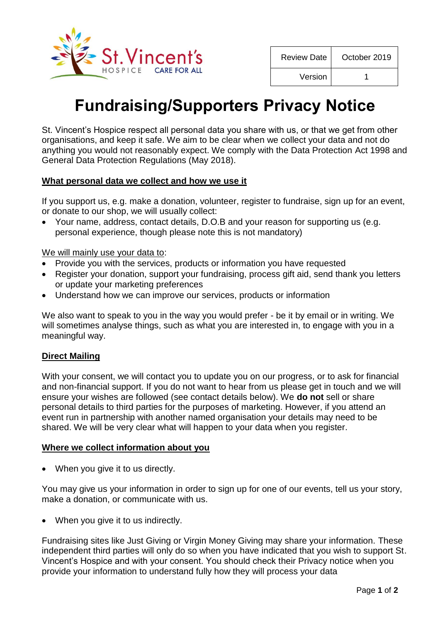

| <b>Review Date</b> | October 2019 |
|--------------------|--------------|
| Version            |              |

# **Fundraising/Supporters Privacy Notice**

St. Vincent's Hospice respect all personal data you share with us, or that we get from other organisations, and keep it safe. We aim to be clear when we collect your data and not do anything you would not reasonably expect. We comply with the Data Protection Act 1998 and General Data Protection Regulations (May 2018).

## **What personal data we collect and how we use it**

If you support us, e.g. make a donation, volunteer, register to fundraise, sign up for an event, or donate to our shop, we will usually collect:

 Your name, address, contact details, D.O.B and your reason for supporting us (e.g. personal experience, though please note this is not mandatory)

We will mainly use your data to:

- Provide you with the services, products or information you have requested
- Register your donation, support your fundraising, process gift aid, send thank you letters or update your marketing preferences
- Understand how we can improve our services, products or information

We also want to speak to you in the way you would prefer - be it by email or in writing. We will sometimes analyse things, such as what you are interested in, to engage with you in a meaningful way.

## **Direct Mailing**

With your consent, we will contact you to update you on our progress, or to ask for financial and non-financial support. If you do not want to hear from us please get in touch and we will ensure your wishes are followed (see contact details below). We **do not** sell or share personal details to third parties for the purposes of marketing. However, if you attend an event run in partnership with another named organisation your details may need to be shared. We will be very clear what will happen to your data when you register.

#### **Where we collect information about you**

• When you give it to us directly.

You may give us your information in order to sign up for one of our events, tell us your story, make a donation, or communicate with us.

• When you give it to us indirectly.

Fundraising sites like Just Giving or Virgin Money Giving may share your information. These independent third parties will only do so when you have indicated that you wish to support St. Vincent's Hospice and with your consent. You should check their Privacy notice when you provide your information to understand fully how they will process your data